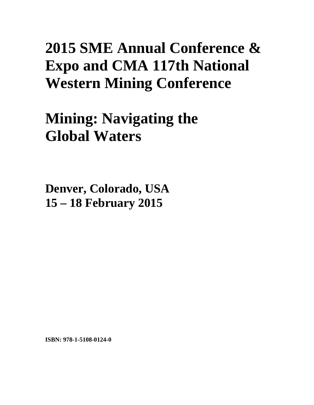## **2015 SME Annual Conference & Expo and CMA 117th National Western Mining Conference**

**Mining: Navigating the Global Waters** 

**Denver, Colorado, USA 15 – 18 February 2015**

**ISBN: 978-1-5108-0124-0**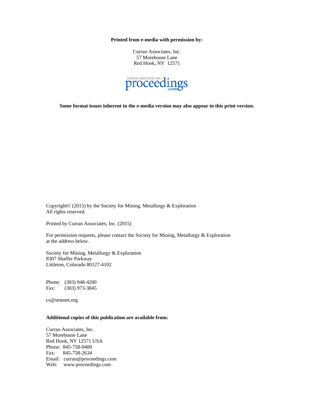**Printed from e-media with permission by:** 

Curran Associates, Inc. 57 Morehouse Lane Red Hook, NY 12571



**Some format issues inherent in the e-media version may also appear in this print version.** 

Copyright© (2015) by the Society for Mining, Metallurgy & Exploration All rights reserved.

Printed by Curran Associates, Inc. (2015)

For permission requests, please contact the Society for Mining, Metallurgy & Exploration at the address below.

Society for Mining, Metallurgy & Exploration 8307 Shaffer Parkway Littleton, Colorado 80127-4102

Phone: (303) 948-4200 Fax: (303) 973-3845

cs@smenet.org

## **Additional copies of this publication are available from:**

Curran Associates, Inc. 57 Morehouse Lane Red Hook, NY 12571 USA Phone: 845-758-0400 Fax: 845-758-2634 Email: curran@proceedings.com Web: www.proceedings.com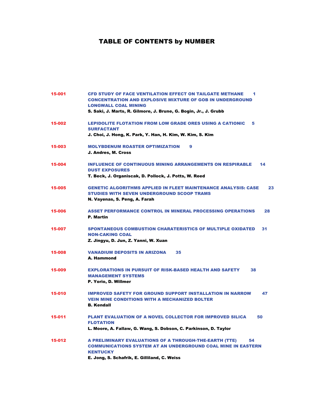## TABLE OF CONTENTS by NUMBER

| 15-001 | <b>CFD STUDY OF FACE VENTILATION EFFECT ON TAILGATE METHANE</b><br>1<br><b>CONCENTRATION AND EXPLOSIVE MIXTURE OF GOB IN UNDERGROUND</b><br><b>LONGWALL COAL MINING</b><br>S. Saki, J. Marts, R. Gilmore, J. Brune, G. Bogin, Jr., J. Grubb |
|--------|---------------------------------------------------------------------------------------------------------------------------------------------------------------------------------------------------------------------------------------------|
| 15-002 | <b>LEPIDOLITE FLOTATION FROM LOW GRADE ORES USING A CATIONIC</b><br>5<br><b>SURFACTANT</b><br>J. Choi, J. Hong, K. Park, Y. Han, H. Kim, W. Kim, S. Kim                                                                                     |
| 15-003 | <b>MOLYBDENUM ROASTER OPTIMIZATION</b><br>9<br>J. Andres, M. Cross                                                                                                                                                                          |
| 15-004 | <b>INFLUENCE OF CONTINUOUS MINING ARRANGEMENTS ON RESPIRABLE</b><br>14<br><b>DUST EXPOSURES</b><br>T. Beck, J. Organiscak, D. Pollock, J. Potts, W. Reed                                                                                    |
| 15-005 | <b>GENETIC ALGORITHMS APPLIED IN FLEET MAINTENANCE ANALYSIS: CASE</b><br>23<br><b>STUDIES WITH SEVEN UNDERGROUND SCOOP TRAMS</b><br>N. Vayenas, S. Peng, A. Farah                                                                           |
| 15-006 | <b>ASSET PERFORMANCE CONTROL IN MINERAL PROCESSING OPERATIONS</b><br>28<br><b>P.</b> Martin                                                                                                                                                 |
| 15-007 | <b>SPONTANEOUS COMBUSTION CHARATERISTICS OF MULTIPLE OXIDATED</b><br>31<br><b>NON-CAKING COAL</b><br>Z. Jingyu, D. Jun, Z. Yanni, W. Xuan                                                                                                   |
| 15-008 | <b>VANADIUM DEPOSITS IN ARIZONA</b><br>35<br>A. Hammond                                                                                                                                                                                     |
| 15-009 | <b>EXPLORATIONS IN PURSUIT OF RISK-BASED HEALTH AND SAFETY</b><br>38<br><b>MANAGEMENT SYSTEMS</b><br>P. Yorio, D. Willmer                                                                                                                   |
| 15-010 | <b>IMPROVED SAFETY FOR GROUND SUPPORT INSTALLATION IN NARROW</b><br>47<br><b>VEIN MINE CONDITIONS WITH A MECHANIZED BOLTER</b><br><b>B. Kendall</b>                                                                                         |
| 15-011 | <b>PLANT EVALUATION OF A NOVEL COLLECTOR FOR IMPROVED SILICA</b><br>50<br><b>FLOTATION</b><br>L. Moore, A. Fallaw, G. Wang, S. Dobson, C. Parkinson, D. Taylor                                                                              |
| 15-012 | <b>A PRELIMINARY EVALUATIONS OF A THROUGH-THE-EARTH (TTE)</b><br>54<br><b>COMMUNICATIONS SYSTEM AT AN UNDERGROUND COAL MINE IN EASTERN</b><br><b>KENTUCKY</b><br>E. Jong, S. Schafrik, E. Gilliland, C. Weiss                               |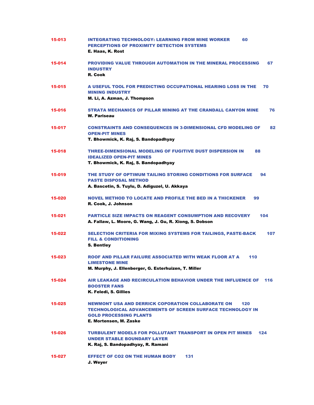| 15-013 | <b>INTEGRATING TECHNOLOGY: LEARNING FROM MINE WORKER</b><br>60<br>PERCEPTIONS OF PROXIMITY DETECTION SYSTEMS<br>E. Haas, K. Rost                                                                |
|--------|-------------------------------------------------------------------------------------------------------------------------------------------------------------------------------------------------|
| 15-014 | <b>PROVIDING VALUE THROUGH AUTOMATION IN THE MINERAL PROCESSING</b><br>67<br><b>INDUSTRY</b><br>R. Cook                                                                                         |
| 15-015 | A USEFUL TOOL FOR PREDICTING OCCUPATIONAL HEARING LOSS IN THE<br>70<br><b>MINING INDUSTRY</b><br>M. Li, A. Azman, J. Thompson                                                                   |
| 15-016 | 76<br>STRATA MECHANICS OF PILLAR MINING AT THE CRANDALL CANYON MINE<br><b>W. Pariseau</b>                                                                                                       |
| 15-017 | <b>CONSTRAINTS AND CONSEQUENCES IN 3-DIMENSIONAL CFD MODELING OF</b><br>82<br><b>OPEN-PIT MINES</b><br>T. Bhowmick, K. Raj, S. Bandopadhyay                                                     |
| 15-018 | THREE-DIMENSIONAL MODELING OF FUGITIVE DUST DISPERSION IN<br>88<br><b>IDEALIZED OPEN-PIT MINES</b><br>T. Bhowmick, K. Raj, S. Bandopadhyay                                                      |
| 15-019 | THE STUDY OF OPTIMUM TAILING STORING CONDITIONS FOR SURFACE<br>94<br><b>PASTE DISPOSAL METHOD</b><br>A. Bascetin, S. Tuylu, D. Adiguzel, U. Akkaya                                              |
| 15-020 | <b>NOVEL METHOD TO LOCATE AND PROFILE THE BED IN A THICKENER</b><br>99<br>R. Cook, J. Johnson                                                                                                   |
| 15-021 | <b>PARTICLE SIZE IMPACTS ON REAGENT CONSUMPTION AND RECOVERY</b><br>104<br>A. Fallaw, L. Moore, G. Wang, J. Gu, R. Xiong, S. Dobson                                                             |
| 15-022 | 107<br>SELECTION CRITERIA FOR MIXING SYSTEMS FOR TAILINGS, PASTE-BACK<br><b>FILL &amp; CONDITIONING</b><br><b>S. Bentley</b>                                                                    |
| 15-023 | ROOF AND PILLAR FAILURE ASSOCIATED WITH WEAK FLOOR AT A<br>110<br><b>LIMESTONE MINE</b><br>M. Murphy, J. Ellenberger, G. Esterhuizen, T. Miller                                                 |
| 15-024 | AIR LEAKAGE AND RECIRCULATION BEHAVIOR UNDER THE INFLUENCE OF<br>116<br><b>BOOSTER FANS</b><br>K. Feledi, S. Gillies                                                                            |
| 15-025 | <b>NEWMONT USA AND DERRICK COPORATION COLLABORATE ON</b><br>120<br><b>TECHNOLOGICAL ADVANCEMENTS OF SCREEN SURFACE TECHNOLOGY IN</b><br><b>GOLD PROCESSING PLANTS</b><br>E. Mortensen, M. Zaske |
| 15-026 | <b>TURBULENT MODELS FOR POLLUTANT TRANSPORT IN OPEN PIT MINES</b><br>124<br><b>UNDER STABLE BOUNDARY LAYER</b><br>K. Raj, S. Bandopadhyay, R. Ramani                                            |
| 15-027 | <b>EFFECT OF CO2 ON THE HUMAN BODY</b><br>131<br>J. Weyer                                                                                                                                       |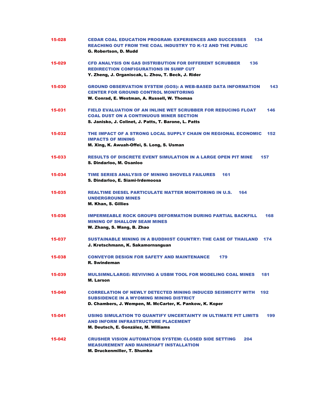| 15-028 | <b>CEDAR COAL EDUCATION PROGRAM: EXPERIENCES AND SUCCESSES</b><br>134<br><b>REACHING OUT FROM THE COAL INDUSTRY TO K-12 AND THE PUBLIC</b><br>G. Robertson. D. Mudd                      |
|--------|------------------------------------------------------------------------------------------------------------------------------------------------------------------------------------------|
| 15-029 | <b>CFD ANALYSIS ON GAS DISTRIBUTION FOR DIFFERENT SCRUBBER</b><br>136<br><b>REDIRECTION CONFIGURATIONS IN SUMP CUT</b><br>Y. Zheng, J. Organiscak, L. Zhou, T. Beck, J. Rider            |
| 15-030 | 143<br><b>GROUND OBSERVATION SYSTEM (GOS): A WEB-BASED DATA INFORMATION</b><br><b>CENTER FOR GROUND CONTROL MONITORING</b><br>W. Conrad, E. Westman, A. Russell, W. Thomas               |
| 15-031 | <b>FIELD EVALUATION OF AN INLINE WET SCRUBBER FOR REDUCING FLOAT</b><br>146<br><b>COAL DUST ON A CONTINUOUS MINER SECTION</b><br>S. Janisko, J. Colinet, J. Patts, T. Barone, L. Patts   |
| 15-032 | THE IMPACT OF A STRONG LOCAL SUPPLY CHAIN ON REGIONAL ECONOMIC<br>152<br><b>IMPACTS OF MINING</b><br>M. Xing, K. Awuah-Offei, S. Long, S. Usman                                          |
| 15-033 | <b>RESULTS OF DISCRETE EVENT SIMULATION IN A LARGE OPEN PIT MINE</b><br>157<br>S. Dindarloo, M. Osanloo                                                                                  |
| 15-034 | TIME SERIES ANALYSIS OF MINING SHOVELS FAILURES<br>161<br>S. Dindarloo, E. Siami-Irdemoosa                                                                                               |
| 15-035 | <b>REALTIME DIESEL PARTICULATE MATTER MONITORING IN U.S.</b><br>164<br><b>UNDERGROUND MINES</b><br><b>M. Khan, S. Gillies</b>                                                            |
| 15-036 | <b>IMPERMEABLE ROCK GROUPS DEFORMATION DURING PARTIAL BACKFILL</b><br>168<br><b>MINING OF SHALLOW SEAM MINES</b><br>W. Zhang, S. Wang, B. Zhao                                           |
| 15-037 | <b>SUSTAINABLE MINING IN A BUDDHIST COUNTRY: THE CASE OF THAILAND</b><br>174<br>J. Kretschmann, K. Sakamornsnguan                                                                        |
| 15-038 | <b>CONVEYOR DESIGN FOR SAFETY AND MAINTENANCE</b><br>179<br><b>R. Swindeman</b>                                                                                                          |
| 15-039 | <b>MULSIMNL/LARGE: REVIVING A USBM TOOL FOR MODELING COAL MINES</b><br>181<br>M. Larson                                                                                                  |
| 15-040 | <b>CORRELATION OF NEWLY DETECTED MINING INDUCED SEISMICITY WITH</b><br>192<br><b>SUBSIDENCE IN A WYOMING MINING DISTRICT</b><br>D. Chambers, J. Wempen, M. McCarter, K. Pankow, K. Koper |
| 15-041 | USING SIMULATION TO QUANTIFY UNCERTAINTY IN ULTIMATE PIT LIMITS<br>199<br><b>AND INFORM INFRASTRUCTURE PLACEMENT</b><br>M. Deutsch, E. González, M. Williams                             |
| 15-042 | <b>CRUSHER VISION AUTOMATION SYSTEM: CLOSED SIDE SETTING</b><br>204<br><b>MEASUREMENT AND MAINSHAFT INSTALLATION</b><br>M. Druckenmiller, T. Shumka                                      |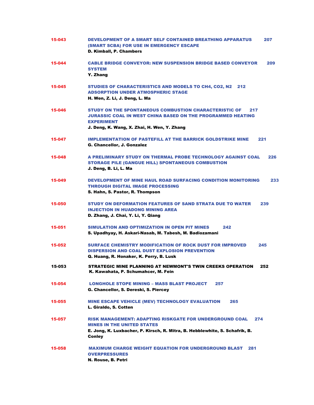| 15-043 | <b>DEVELOPMENT OF A SMART SELF CONTAINED BREATHING APPARATUS</b><br>207<br><b>(SMART SCBA) FOR USE IN EMERGENCY ESCAPE</b><br>D. Kimball, P. Chambers                                                         |
|--------|---------------------------------------------------------------------------------------------------------------------------------------------------------------------------------------------------------------|
| 15-044 | <b>CABLE BRIDGE CONVEYOR: NEW SUSPENSION BRIDGE BASED CONVEYOR</b><br>209<br><b>SYSTEM</b><br>Y. Zhang                                                                                                        |
| 15-045 | <b>STUDIES OF CHARACTERISTICS AND MODELS TO CH4, CO2, N2 212</b><br><b>ADSORPTION UNDER ATMOSPHERIC STAGE</b><br>H. Wen, Z. Li, J. Deng, L. Ma                                                                |
| 15-046 | <b>STUDY ON THE SPONTANEOUS COMBUSTION CHARACTERISTIC OF</b><br>217<br><b>JURASSIC COAL IN WEST CHINA BASED ON THE PROGRAMMED HEATING</b><br><b>EXPERIMENT</b><br>J. Deng, K. Wang, X. Zhai, H. Wen, Y. Zhang |
| 15-047 | <b>IMPLEMENTATION OF PASTEFILL AT THE BARRICK GOLDSTRIKE MINE</b><br>221<br><b>G. Chancellor, J. Gonzalez</b>                                                                                                 |
| 15-048 | A PRELIMINARY STUDY ON THERMAL PROBE TECHNOLOGY AGAINST COAL<br>226<br><b>STORAGE PILE (GANGUE HILL) SPONTANEOUS COMBUSTION</b><br>J. Deng, B. Li, L. Ma                                                      |
| 15-049 | DEVELOPMENT OF MINE HAUL ROAD SURFACING CONDITION MONITORING<br>233<br><b>THROUGH DIGITAL IMAGE PROCESSING</b><br>S. Hahn, S. Pastor, R. Thompson                                                             |
| 15-050 | <b>STUDY ON DEFORMATION FEATURES OF SAND STRATA DUE TO WATER</b><br>239<br><b>INJECTION IN HUADONG MINING AREA</b><br>D. Zhang, J. Chai, Y. Li, Y. Qiang                                                      |
| 15-051 | SIMULATION AND OPTIMIZATION IN OPEN PIT MINES<br>242<br>S. Upadhyay, H. Askari-Nasab, M. Tabesh, M. Badiozamani                                                                                               |
| 15-052 | <b>SURFACE CHEMISTRY MODIFICATION OF ROCK DUST FOR IMPROVED</b><br>245<br><b>DISPERSION AND COAL DUST EXPLOSION PREVENTION</b><br>Q. Huang, R. Honaker, K. Perry, B. Lusk                                     |
| 15-053 | STRATEGIC MINE PLANNING AT NEWMONT'S TWIN CREEKS OPERATION<br>252<br>K. Kawahata, P. Schumahcer, M. Fein                                                                                                      |
| 15-054 | <b>LONGHOLE STOPE MINING - MASS BLAST PROJECT</b><br>257<br>G. Chancellor, S. Dereski, S. Piercey                                                                                                             |
| 15-055 | MINE ESCAPE VEHICLE (MEV) TECHNOLOGY EVALUATION<br>265<br>L. Giraldo, S. Cotten                                                                                                                               |
| 15-057 | <b>RISK MANAGEMENT: ADAPTING RISKGATE FOR UNDERGROUND COAL</b><br>274<br><b>MINES IN THE UNITED STATES</b><br>E. Jong, K. Luxbacher, P. Kirsch, R. Mitra, B. Hebblewhite, S. Schafrik, B.<br><b>Conley</b>    |
| 15-058 | <b>MAXIMUM CHARGE WEIGHT EQUATION FOR UNDERGROUND BLAST</b><br>281<br><b>OVERPRESSURES</b><br>N. Rouse, B. Petri                                                                                              |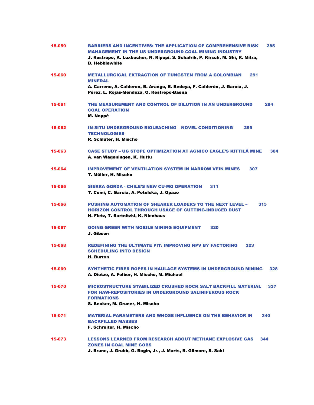| 15-059 | BARRIERS AND INCENTIVES: THE APPLICATION OF COMPREHENSIVE RISK<br>285<br><b>MANAGEMENT IN THE US UNDERGROUND COAL MINING INDUSTRY</b><br>J. Restrepo, K. Luxbacher, N. Ripepi, S. Schafrik, P. Kirsch, M. Shi, R. Mitra, |
|--------|--------------------------------------------------------------------------------------------------------------------------------------------------------------------------------------------------------------------------|
|        | <b>B. Hebblewhite</b>                                                                                                                                                                                                    |
| 15-060 | <b>METALLURGICAL EXTRACTION OF TUNGSTEN FROM A COLOMBIAN</b><br>291<br><b>MINERAL</b>                                                                                                                                    |
|        | A. Carreno, A. Calderon, B. Arango, E. Bedoya, F. Calderón, J. García, J.<br>Pérez, L. Rojas-Mendoza, O. Restrepo-Baena                                                                                                  |
| 15-061 | THE MEASUREMENT AND CONTROL OF DILUTION IN AN UNDERGROUND<br>294<br><b>COAL OPERATION</b><br>M. Noppé                                                                                                                    |
| 15-062 | <b>IN-SITU UNDERGROUND BIOLEACHING - NOVEL CONDITIONING</b><br>299<br><b>TECHNOLOGIES</b><br>R. Schlüter, H. Mischo                                                                                                      |
| 15-063 | <b>CASE STUDY – UG STOPE OPTIMIZATION AT AGNICO EAGLE'S KITTILÄ MINE</b><br>304<br>A. van Wageningen, K. Huttu                                                                                                           |
| 15-064 | <b>IMPROVEMENT OF VENTILATION SYSTEM IN NARROW VEIN MINES</b><br>307<br>T. Müller, H. Mischo                                                                                                                             |
| 15-065 | <b>SIERRA GORDA - CHILE'S NEW CU-MO OPERATION</b><br>311<br>T. Comi, C. Garcia, A. Potulska, J. Opazo                                                                                                                    |
| 15-066 | <b>PUSHING AUTOMATION OF SHEARER LOADERS TO THE NEXT LEVEL -</b><br>315<br><b>HORIZON CONTROL THROUGH USAGE OF CUTTING-INDUCED DUST</b><br>N. Fietz, T. Bartnitzki, K. Nienhaus                                          |
| 15-067 | <b>GOING GREEN WITH MOBILE MINING EQUIPMENT</b><br>320<br>J. Gibson                                                                                                                                                      |
| 15-068 | <b>REDEFINING THE ULTIMATE PIT: IMPROVING NPV BY FACTORING</b><br>323<br><b>SCHEDULING INTO DESIGN</b><br>H. Burton                                                                                                      |
| 15-069 | SYNTHETIC FIBER ROPES IN HAULAGE SYSTEMS IN UNDERGROUND MINING<br>328<br>A. Dietze, A. Felber, H. Mischo, M. Michael                                                                                                     |
| 15-070 | <b>MICROSTRUCTURE STABILIZED CRUSHED ROCK SALT BACKFILL MATERIAL</b><br>337<br><b>FOR HAW-REPOSITORIES IN UNDERGROUND SALINIFEROUS ROCK</b><br><b>FORMATIONS</b><br>S. Becker, M. Gruner, H. Mischo                      |
| 15-071 | <b>MATERIAL PARAMETERS AND WHOSE INFLUENCE ON THE BEHAVIOR IN</b><br>340<br><b>BACKFILLED MASSES</b><br>F. Schreiter, H. Mischo                                                                                          |
| 15-073 | <b>LESSONS LEARNED FROM RESEARCH ABOUT METHANE EXPLOSIVE GAS</b><br>344<br><b>ZONES IN COAL MINE GOBS</b><br>J. Brune, J. Grubb, G. Bogin, Jr., J. Marts, R. Gilmore, S. Saki                                            |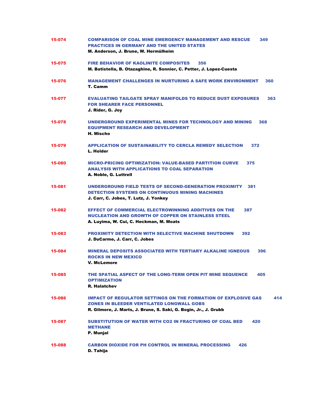| 15-074 | <b>COMPARISON OF COAL MINE EMERGENCY MANAGEMENT AND RESCUE</b><br>349<br><b>PRACTICES IN GERMANY AND THE UNITED STATES</b><br>M. Anderson, J. Brune, W. Hermülheim                                   |
|--------|------------------------------------------------------------------------------------------------------------------------------------------------------------------------------------------------------|
| 15-075 | <b>FIRE BEHAVIOR OF KAOLINITE COMPOSITES</b><br>356<br>M. Batistella, B. Otazaghine, R. Sonnier, C. Petter, J. Lopez-Cuesta                                                                          |
| 15-076 | <b>MANAGEMENT CHALLENGES IN NURTURING A SAFE WORK ENVIRONMENT</b><br>360<br>T. Camm                                                                                                                  |
| 15-077 | <b>EVALUATING TAILGATE SPRAY MANIFOLDS TO REDUCE DUST EXPOSURES</b><br>363<br><b>FOR SHEARER FACE PERSONNEL</b><br>J. Rider, G. Joy                                                                  |
| 15-078 | UNDERGROUND EXPERIMENTAL MINES FOR TECHNOLOGY AND MINING<br>368<br><b>EQUIPMENT RESEARCH AND DEVELOPMENT</b><br>H. Mischo                                                                            |
| 15-079 | <b>APPLICATION OF SUSTAINABILITY TO CERCLA REMEDY SELECTION</b><br>372<br>L. Holder                                                                                                                  |
| 15-080 | <b>MICRO-PRICING OPTIMIZATION: VALUE-BASED PARTITION CURVE</b><br>375<br><b>ANALYSIS WITH APPLICATIONS TO COAL SEPARATION</b><br>A. Noble, G. Luttrell                                               |
| 15-081 | <b>UNDERGROUND FIELD TESTS OF SECOND-GENERATION PROXIMITY</b><br>381<br><b>DETECTION SYSTEMS ON CONTINUOUS MINING MACHINES</b><br>J. Carr, C. Jobes, T. Lutz, J. Yonkey                              |
| 15-082 | <b>EFFECT OF COMMERCIAL ELECTROWINNING ADDITIVES ON THE</b><br>387<br><b>NUCLEATION AND GROWTH OF COPPER ON STAINLESS STEEL</b><br>A. Luyima, W. Cui, C. Heckman, M. Moats                           |
| 15-083 | <b>PROXIMITY DETECTION WITH SELECTIVE MACHINE SHUTDOWN</b><br>392<br>J. DuCarme, J. Carr, C. Jobes                                                                                                   |
| 15-084 | <b>MINERAL DEPOSITS ASSOCIATED WITH TERTIARY ALKALINE IGNEOUS</b><br>396<br><b>ROCKS IN NEW MEXICO</b><br><b>V. McLemore</b>                                                                         |
| 15-085 | THE SPATIAL ASPECT OF THE LONG-TERM OPEN PIT MINE SEQUENCE<br>405<br><b>OPTIMIZATION</b><br><b>R. Halatchev</b>                                                                                      |
| 15-086 | <b>IMPACT OF REGULATOR SETTINGS ON THE FORMATION OF EXPLOSIVE GAS</b><br>414<br><b>ZONES IN BLEEDER VENTILATED LONGWALL GOBS</b><br>R. Gilmore, J. Marts, J. Brune, S. Saki, G. Bogin, Jr., J. Grubb |
| 15-087 | <b>SUBSTITUTION OF WATER WITH CO2 IN FRACTURING OF COAL BED</b><br>420<br><b>METHANE</b><br>P. Munjal                                                                                                |
| 15-088 | <b>CARBON DIOXIDE FOR PH CONTROL IN MINERAL PROCESSING</b><br>426<br><b>D. Tahija</b>                                                                                                                |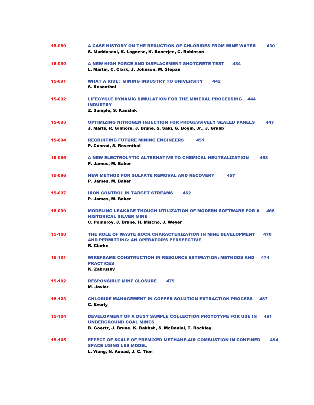| 15-089 | A CASE HISTORY ON THE REDUCTION OF CHLORIDES FROM MINE WATER<br>430<br>S. Muddasani, K. Lagnese, K. Banerjee, C. Robinson                                       |
|--------|-----------------------------------------------------------------------------------------------------------------------------------------------------------------|
| 15-090 | A NEW HIGH FORCE AND DISPLACEMENT SHOTCRETE TEST<br>434<br>L. Martin, C. Clark, J. Johnson, M. Stepan                                                           |
| 15-091 | <b>WHAT A RIDE: MINING INDUSTRY TO UNIVERSITY</b><br>442<br><b>S. Rosenthal</b>                                                                                 |
| 15-092 | <b>LIFECYCLE DYNAMIC SIMULATION FOR THE MINERAL PROCESSING</b><br>444<br><b>INDUSTRY</b><br>Z. Sample, S. Kaushik                                               |
| 15-093 | <b>OPTIMIZING NITROGEN INJECTION FOR PROGESSIVELY SEALED PANELS</b><br>447<br>J. Marts, R. Gilmore, J. Brune, S. Saki, G. Bogin, Jr., J. Grubb                  |
| 15-094 | <b>RECRUITING FUTURE MINING ENGINEERS</b><br>451<br>P. Conrad, S. Rosenthal                                                                                     |
| 15-095 | A NEW ELECTROLYTIC ALTERNATIVE TO CHEMICAL NEUTRALIZATION<br>453<br>P. James, M. Baker                                                                          |
| 15-096 | <b>NEW METHOD FOR SULFATE REMOVAL AND RECOVERY</b><br>457<br>P. James, M. Baker                                                                                 |
| 15-097 | <b>IRON CONTROL IN TARGET STREAMS</b><br>462<br>P. James, M. Baker                                                                                              |
| 15-099 | <b>MODELING LEAKAGE THOUGH UTILIZATION OF MODERN SOFTWARE FOR A</b><br>466<br><b>HISTORICAL SILVER MINE</b><br>C. Pomeroy, J. Brune, H. Mischo, J. Weyer        |
| 15-100 | 470<br>THE ROLE OF WASTE ROCK CHARACTERIZATION IN MINE DEVELOPMENT<br><b>AND PERMITTING: AN OPERATOR'S PERSPECTIVE</b><br><b>R.</b> Clarke                      |
| 15-101 | <b>WIREFRAME CONSTRUCTION IN RESOURCE ESTIMATION: METHODS AND</b><br>474<br><b>PRACTICES</b><br><b>K. Zabrusky</b>                                              |
| 15-102 | <b>RESPONSIBLE MINE CLOSURE</b><br>479<br><b>M. Javier</b>                                                                                                      |
| 15-103 | <b>CHLORIDE MANAGEMENT IN COPPER SOLUTION EXTRACTION PROCESS</b><br>487<br><b>C. Everly</b>                                                                     |
| 15-104 | DEVELOPMENT OF A DUST SAMPLE COLLECTION PROTOTYPE FOR USE IN<br>491<br><b>UNDERGROUND COAL MINES</b><br>B. Goertz, J. Brune, K. Bakhsh, S. McDaniel, T. Rockley |
| 15-105 | <b>EFFECT OF SCALE OF PREMIXED METHANE-AIR COMBUSTION IN CONFINED</b><br>494<br><b>SPACE USING LES MODEL</b><br>L. Wang, N. Aouad, J. C. Tien                   |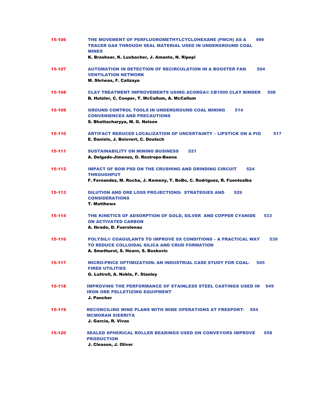| 15-106 | THE MOVEMENT OF PERFLUOROMETHYLCYCLOHEXANE (PMCH) AS A<br>499<br>TRACER GAS THROUGH SEAL MATERIAL USED IN UNDERGROUND COAL<br><b>MINES</b>                           |
|--------|----------------------------------------------------------------------------------------------------------------------------------------------------------------------|
|        | K. Brashear, K. Luxbacher, J. Amante, N. Ripepi                                                                                                                      |
| 15-107 | <b>AUTOMATION IN DETECTION OF RECIRCULATION IN A BOOSTER FAN</b><br>504<br><b>VENTILATION NETWORK</b><br>M. Shriwas, F. Calizaya                                     |
| 15-108 | <b>CLAY TREATMENT IMPROVEMENTS USING ACORGA® CB1000 CLAY BINDER</b><br>508<br>B. Hutzler, C. Cooper, T. McCallum, A. McCallum                                        |
| 15-109 | <b>GROUND CONTROL TOOLS IN UNDERGROUND COAL MINING</b><br>514<br><b>CONVENIENCES AND PRECAUTIONS</b><br>S. Bhattacharyya, M. G. Nelson                               |
| 15-110 | ARTIFACT REDUCED LOCALIZATION OF UNCERTAINTY – LIPSTICK ON A PIG<br>517<br>E. Daniels, J. Boisvert, C. Deutsch                                                       |
| 15-111 | <b>SUSTAINABILITY ON MINING BUSINESS</b><br>521<br>A. Delgado-Jimenez, O. Restrepo-Baena                                                                             |
| 15-112 | <b>IMPACT OF ROM PSD ON THE CRUSHING AND GRINDING CIRCUIT</b><br>524<br><b>THROUGHPUT</b><br>F. Fernandez, M. Rocha, J. Kemeny, T. BoBo, C. Rodriguez, R. Fuentealba |
| 15-113 | <b>DILUTION AND ORE LOSS PROJECTIONS: STRATEGIES AND</b><br>529<br><b>CONSIDERATIONS</b><br><b>T. Matthews</b>                                                       |
| 15-114 | THE KINETICS OF ADSORPTION OF GOLD, SILVER AND COPPER CYANIDE<br>533<br><b>ON ACTIVATED CARBON</b><br>A. Ibrado, D. Fuerstenau                                       |
| 15-116 | <b>POLYSIL® COAGULANTS TO IMPROVE SX CONDITIONS – A PRACTICAL WAY</b><br>539<br>TO REDUCE COLLOIDAL SILICA AND CRUD FORMATION<br>A. Smethurst, S. Hearn, S. Boskovic |
| 15-117 | <b>MICRO-PRICE OPTIMIZATION: AN INDUSTRIAL CASE STUDY FOR COAL-</b><br>545<br><b>FIRED UTILITIES</b><br>G. Luttrell, A. Noble, F. Stanley                            |
| 15-118 | <b>IMPROVING THE PERFORMANCE OF STAINLESS STEEL CASTINGS USED IN</b><br>- 549<br><b>IRON ORE PELLETIZING EQUIPMENT</b><br>J. Pancher                                 |
| 15-119 | <b>RECONCILING MINE PLANS WITH MINE OPERATIONS AT FREEPORT- 554</b><br><b>MCMORAN SIERRITA</b><br>J. Garcia, R. Vivas                                                |
| 15-120 | <b>SEALED SPHERICAL ROLLER BEARINGS USED ON CONVEYORS IMPROVE</b><br>558<br><b>PRODUCTION</b><br>J. Cleason, J. Oliver                                               |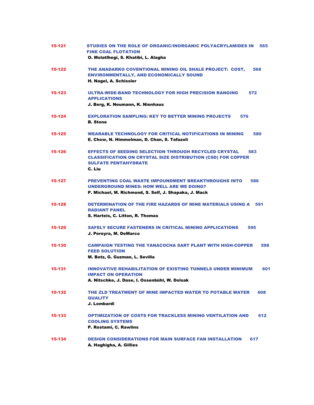| 15-121 | STUDIES ON THE ROLE OF ORGANIC/INORGANIC POLYACRYLAMIDES IN<br>565<br><b>FINE COAL FLOTATION</b><br>O. Molatlhegi, S. Khatibi, L. Alagha                                            |
|--------|-------------------------------------------------------------------------------------------------------------------------------------------------------------------------------------|
| 15-122 | THE ANADARKO COVENTIONAL MINING OIL SHALE PROJECT: COST,<br>568<br><b>ENVIRONMENTALLY, AND ECONOMICALLY SOUND</b><br>H. Nagel, A. Schissler                                         |
| 15-123 | ULTRA-WIDE-BAND TECHNOLOGY FOR HIGH PRECISION RANGING<br>572<br><b>APPLICATIONS</b><br>J. Berg, K. Neumann, K. Nienhaus                                                             |
| 15-124 | <b>EXPLORATION SAMPLING: KEY TO BETTER MINING PROJECTS</b><br>576<br><b>B.</b> Stone                                                                                                |
| 15-125 | <b>WEARABLE TECHNOLOGY FOR CRITICAL NOTIFICATIONS IN MINING</b><br>580<br>E. Chow, N. Himmelman, D. Chan, S. Tafazoli                                                               |
| 15-126 | <b>EFFECTS OF SEEDING SELECTION THROUGH RECYCLED CRYSTAL</b><br>583<br><b>CLASSIFICATION ON CRYSTAL SIZE DISTRIBUTION (CSD) FOR COPPER</b><br><b>SULFATE PENTAHYDRATE</b><br>C. Liu |
| 15-127 | <b>PREVENTING COAL WASTE IMPOUNDMENT BREAKTHROUGHS INTO</b><br>586<br><b>UNDERGROUND MINES: HOW WELL ARE WE DOING?</b><br>P. Michael, M. Richmond, S. Self, J. Shapaka, J. Mack     |
| 15-128 | DETERMINATION OF THE FIRE HAZARDS OF MINE MATERIALS USING A<br>591<br><b>RADIANT PANEL</b><br>S. Harteis, C. Litton, R. Thomas                                                      |
| 15-129 | <b>SAFELY SECURE FASTENERS IN CRITICAL MINING APPLICATIONS</b><br>595<br>J. Pereyra, M. DeMarco                                                                                     |
| 15-130 | <b>CAMPAIGN TESTING THE YANACOCHA SART PLANT WITH HIGH-COPPER</b><br>598<br><b>FEED SOLUTION</b><br>M. Botz, G. Guzman, L. Sevilla                                                  |
| 15-131 | <b>INNOVATIVE REHABILITATION OF EXISTING TUNNELS UNDER MINIMUM</b><br>601<br><b>IMPACT ON OPERATION</b><br>A. Nitschke, J. Dase, I. Ossenbühl, W. Dolsak                            |
| 15-132 | THE ZLD TREATMENT OF MINE IMPACTED WATER TO POTABLE WATER<br>608<br><b>QUALITY</b><br>J. Lombardi                                                                                   |
| 15-133 | <b>OPTIMIZATION OF COSTS FOR TRACKLESS MINING VENTILATION AND</b><br>612<br><b>COOLING SYSTEMS</b><br>P. Rostami, C. Rawlins                                                        |
| 15-134 | <b>DESIGN CONSIDERATIONS FOR MAIN SURFACE FAN INSTALLATION</b><br>617<br>A. Haghigha, A. Gillies                                                                                    |